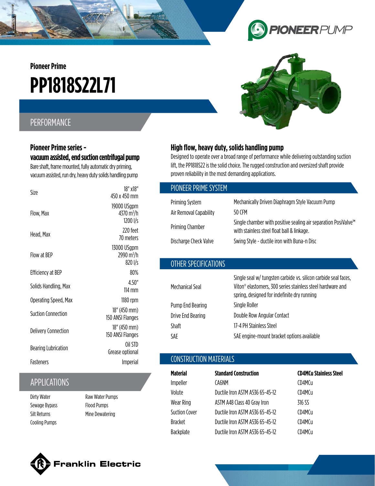**Pioneer Prime**

# **PP1818S22L71**

## PERFORMANCE

#### **Pioneer Prime series vacuum assisted, end suction centrifugal pump**

Bare shaft, frame mounted, fully automatic dry priming, vacuum assisted, run dry, heavy duty solids handling pump

| Size                       | 18" x18"<br>450 x 450 mm                          |
|----------------------------|---------------------------------------------------|
| Flow, Max                  | 19000 USgpm<br>4370 m <sup>3</sup> /h<br>1200 I/s |
| Head, Max                  | 770 feet<br>70 meters                             |
| Flow at RFP                | 13000 USgpm<br>2990 $m^3/h$<br>820 I/s            |
| Efficiency at BEP          | 80%                                               |
| Solids Handling, Max       | 4.50"<br>$114$ mm                                 |
| Operating Speed, Max       | 1180 rpm                                          |
| <b>Suction Connection</b>  | 18" (450 mm)<br>150 ANSI Flanges                  |
| <b>Delivery Connection</b> | 18" (450 mm)<br>150 ANSI Flanges                  |
| <b>Bearing Lubrication</b> | Oil STD<br>Grease optional                        |
| Fasteners                  | Imperial                                          |
|                            |                                                   |

### APPLICATIONS

Dirty Water Sewage Bypass Silt Returns Cooling Pumps

Raw Water Pumps Flood Pumps Mine Dewatering

#### **High flow, heavy duty, solids handling pump**

Designed to operate over a broad range of performance while delivering outstanding suction lift, the PP1818S22 is the solid choice. The rugged construction and oversized shaft provide proven reliability in the most demanding applications.

| PIONEER PRIME SYSTEM   |                                                                                                                                                                              |
|------------------------|------------------------------------------------------------------------------------------------------------------------------------------------------------------------------|
| Priming System         | Mechanically Driven Diaphragm Style Vacuum Pump                                                                                                                              |
| Air Removal Capability | 50 CFM                                                                                                                                                                       |
| <b>Priming Chamber</b> | Single chamber with positive sealing air separation PosiValve™<br>with stainless steel float ball & linkage.                                                                 |
| Discharge Check Valve  | Swing Style - ductile iron with Buna-n Disc                                                                                                                                  |
|                        |                                                                                                                                                                              |
| OTHER SPECIFICATIONS   |                                                                                                                                                                              |
| Mechanical Seal        | Single seal w/ tungsten carbide vs. silicon carbide seal faces,<br>Viton® elastomers, 300 series stainless steel hardware and<br>spring, designed for indefinite dry running |
| Pump End Bearing       | Single Roller                                                                                                                                                                |
| Drive End Bearing      | Double Row Angular Contact                                                                                                                                                   |
| Shaft                  | 17-4 PH Stainless Steel                                                                                                                                                      |

#### CONSTRUCTION MATERIALS

| <b>Standard Construction</b>    | <b>CD4MCu Stainless Steel</b> |
|---------------------------------|-------------------------------|
| CA6NM                           | CD4MCu                        |
| Ductile Iron ASTM A536 65-45-12 | CD4MCu                        |
| ASTM A48 Class 40 Gray Iron     | 316 SS                        |
| Ductile Iron ASTM A536 65-45-12 | CD4MCu                        |
| Ductile Iron ASTM A536 65-45-12 | CD4MCu                        |
| Ductile Iron ASTM A536 65-45-12 | CD4MCu                        |
|                                 |                               |

SAE engine-mount bracket options available